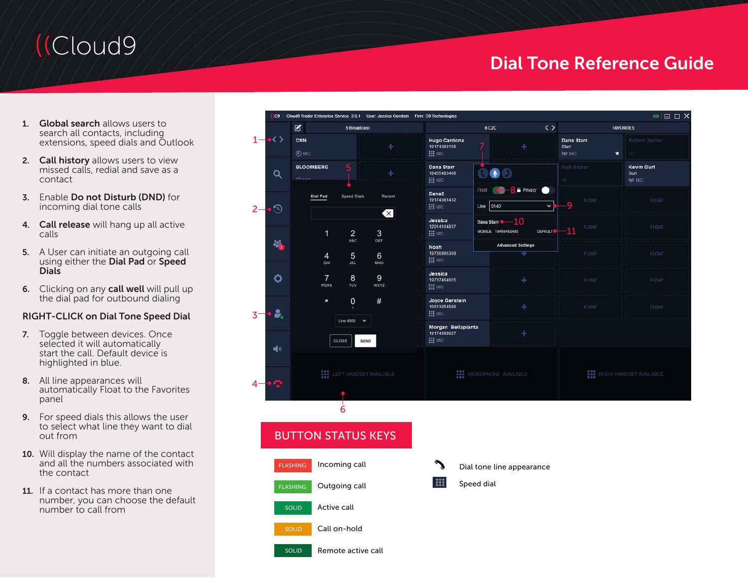# (Cloud9)

## Dial Tone Reference Guide

- 1. Global search allows users to search all contacts, including extensions, speed dials and Outlook
- 2. Call history allows users to view missed calls, redial and save as a contact
- 3. Enable Do not Disturb (DND) for incoming dial tone calls
- 4. Call release will hang up all active calls
- 5. A User can initiate an outgoing call using either the Dial Pad or Speed **Dials**
- 6. Clicking on any call well will pull up the dial pad for outbound dialing

#### RIGHT-CLICK on Dial Tone Speed Dial

- 7. Toggle between devices. Once selected it will automatically start the call. Default device is highlighted in blue.
- 8. All line appearances will automatically Float to the Favorites panel
- 9. For speed dials this allows the user to select what line they want to dial out from
- 10. Will display the name of the contact and all the numbers associated with the contact
- 11. If a contact has more than one number, you can choose the default number to call from



## BUTTON STATUS KEYS

- Incoming call Outgoing call Active call Call on-hold Remote active call **FLASHING** SOLID FLASHING SOLID SOLID
- E
	- Dial tone line appearance

#### Speed dial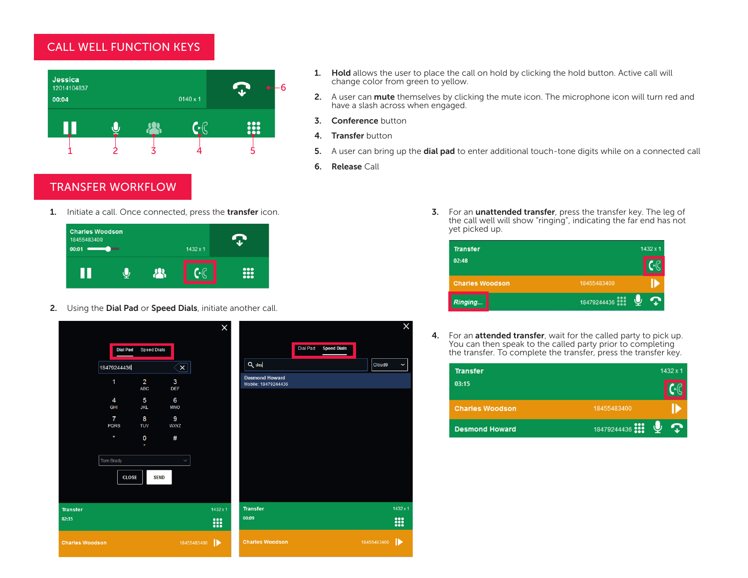### CALL WELL FUNCTION KEYS



#### 1. Hold allows the user to place the call on hold by clicking the hold button. Active call will change color from green to yellow.

- 2. A user can mute themselves by clicking the mute icon. The microphone icon will turn red and have a slash across when engaged.
- 3. Conference button
- 4. Transfer button
- 5. A user can bring up the **dial pad** to enter additional touch-tone digits while on a connected call
- 6. Release Call

## TRANSFER WORKFLOW

1. Initiate a call. Once connected, press the transfer icon.



2. Using the Dial Pad or Speed Dials, initiate another call.

|                          |                               |                              |                  | $\times$ |                                              |                 |                    |             | x            |
|--------------------------|-------------------------------|------------------------------|------------------|----------|----------------------------------------------|-----------------|--------------------|-------------|--------------|
|                          | <b>Dial Pad</b>               | <b>Speed Dials</b>           |                  |          |                                              | <b>Dial Pad</b> | <b>Speed Dials</b> |             |              |
|                          | 18479244436                   |                              | $\mathbf{x}$     |          | Q des                                        |                 |                    | Cloud9      | $\checkmark$ |
|                          | 1                             | $\overline{2}$<br><b>ABC</b> | 3<br><b>DEF</b>  |          | <b>Desmond Howard</b><br>Mobile: 18479244436 |                 |                    |             |              |
|                          | $\overline{4}$<br><b>GHI</b>  | 5<br><b>JKL</b>              | 6<br><b>MNO</b>  |          |                                              |                 |                    |             |              |
|                          | $\overline{7}$<br><b>PQRS</b> | 8<br><b>TUV</b>              | 9<br><b>WXYZ</b> |          |                                              |                 |                    |             |              |
|                          | $\pmb{\ast}$                  | $\mathbf 0$<br>÷             | #                |          |                                              |                 |                    |             |              |
|                          | <b>Tom Brady</b>              |                              | $\checkmark$     |          |                                              |                 |                    |             |              |
|                          | <b>CLOSE</b>                  | <b>SEND</b>                  |                  |          |                                              |                 |                    |             |              |
|                          |                               |                              |                  |          |                                              |                 |                    |             | 1432 x 1     |
| <b>Transfer</b><br>02:35 |                               |                              |                  | 1432 x 1 | <b>Transfer</b><br>00:09                     |                 |                    |             |              |
|                          |                               |                              |                  | !!!      |                                              |                 |                    |             | <b>:::</b>   |
| <b>Charles Woodson</b>   |                               |                              | 18455483400      | IÞ       | <b>Charles Woodson</b>                       |                 |                    | 18455483400 | ⊪            |

3. For an unattended transfer, press the transfer key. The leg of the call well will show "ringing", indicating the far end has not yet picked up.

| <b>Transfer</b>        | $1432 \times 1$ |
|------------------------|-----------------|
| 02:48                  |                 |
| <b>Charles Woodson</b> | 18455483400     |
| Ringing                | 18479244436     |

4. For an attended transfer, wait for the called party to pick up. You can then speak to the called party prior to completing the transfer. To complete the transfer, press the transfer key.

| <b>Transfer</b>        |             | $1432 \times 1$ |
|------------------------|-------------|-----------------|
| 03:15                  |             |                 |
| <b>Charles Woodson</b> | 18455483400 |                 |
| <b>Desmond Howard</b>  | 18479244436 |                 |